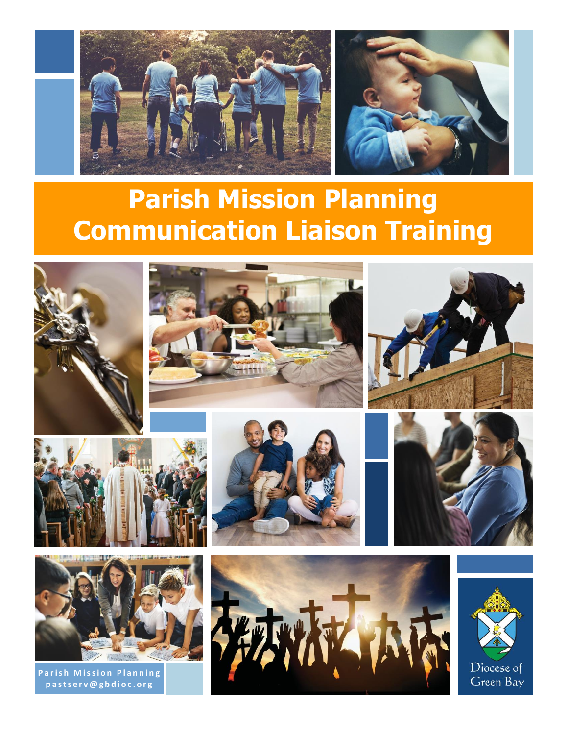



# **Parish Mission Planning Communication Liaison Training**











**Parish Mission Planning p a s t s e r v @ g b d i o c . o r g**







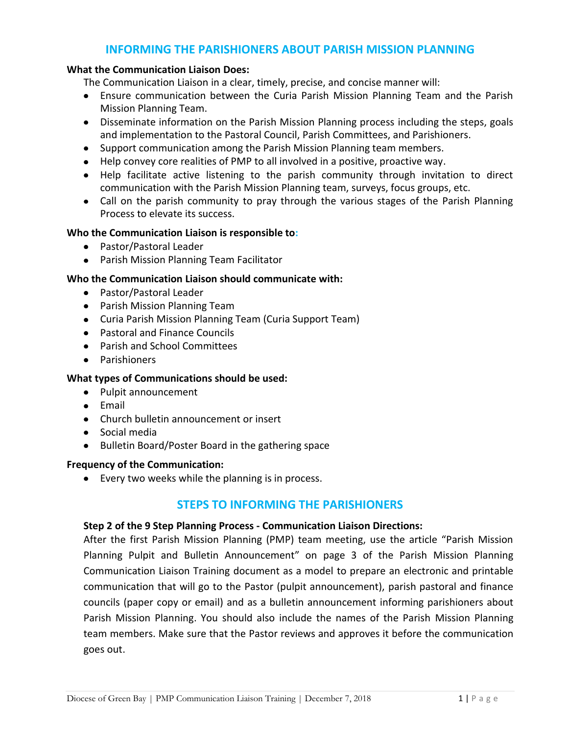# **INFORMING THE PARISHIONERS ABOUT PARISH MISSION PLANNING**

#### **What the Communication Liaison Does:**

The Communication Liaison in a clear, timely, precise, and concise manner will:

- Ensure communication between the Curia Parish Mission Planning Team and the Parish Mission Planning Team.
- Disseminate information on the Parish Mission Planning process including the steps, goals and implementation to the Pastoral Council, Parish Committees, and Parishioners.
- Support communication among the Parish Mission Planning team members.
- Help convey core realities of PMP to all involved in a positive, proactive way.
- Help facilitate active listening to the parish community through invitation to direct communication with the Parish Mission Planning team, surveys, focus groups, etc.
- Call on the parish community to pray through the various stages of the Parish Planning Process to elevate its success.

## **Who the Communication Liaison is responsible to:**

- Pastor/Pastoral Leader
- Parish Mission Planning Team Facilitator

## **Who the Communication Liaison should communicate with:**

- Pastor/Pastoral Leader
- Parish Mission Planning Team
- Curia Parish Mission Planning Team (Curia Support Team)
- Pastoral and Finance Councils
- Parish and School Committees
- Parishioners

## **What types of Communications should be used:**

- Pulpit announcement
- Email
- Church bulletin announcement or insert
- Social media
- Bulletin Board/Poster Board in the gathering space

#### **Frequency of the Communication:**

Every two weeks while the planning is in process.

## **STEPS TO INFORMING THE PARISHIONERS**

#### **Step 2 of the 9 Step Planning Process - Communication Liaison Directions:**

After the first Parish Mission Planning (PMP) team meeting, use the article "Parish Mission Planning Pulpit and Bulletin Announcement" on page 3 of the Parish Mission Planning Communication Liaison Training document as a model to prepare an electronic and printable communication that will go to the Pastor (pulpit announcement), parish pastoral and finance councils (paper copy or email) and as a bulletin announcement informing parishioners about Parish Mission Planning. You should also include the names of the Parish Mission Planning team members. Make sure that the Pastor reviews and approves it before the communication goes out.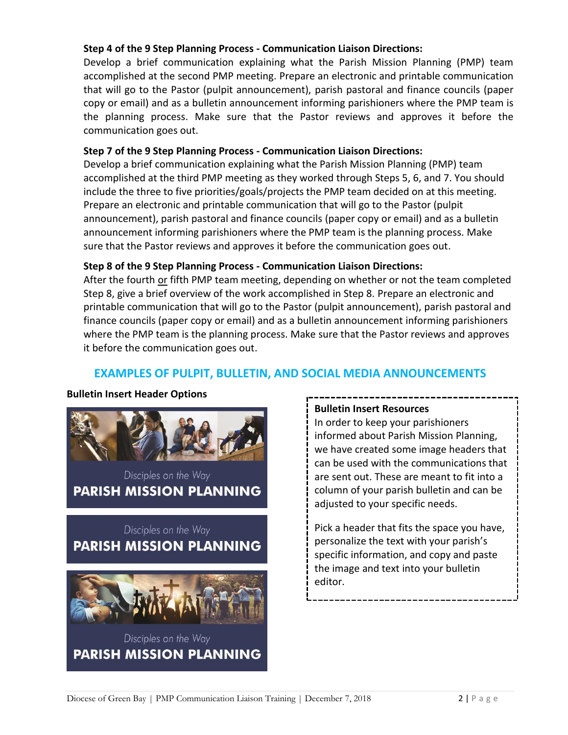## **Step 4 of the 9 Step Planning Process - Communication Liaison Directions:**

Develop a brief communication explaining what the Parish Mission Planning (PMP) team accomplished at the second PMP meeting. Prepare an electronic and printable communication that will go to the Pastor (pulpit announcement), parish pastoral and finance councils (paper copy or email) and as a bulletin announcement informing parishioners where the PMP team is the planning process. Make sure that the Pastor reviews and approves it before the communication goes out.

## **Step 7 of the 9 Step Planning Process - Communication Liaison Directions:**

Develop a brief communication explaining what the Parish Mission Planning (PMP) team accomplished at the third PMP meeting as they worked through Steps 5, 6, and 7. You should include the three to five priorities/goals/projects the PMP team decided on at this meeting. Prepare an electronic and printable communication that will go to the Pastor (pulpit announcement), parish pastoral and finance councils (paper copy or email) and as a bulletin announcement informing parishioners where the PMP team is the planning process. Make sure that the Pastor reviews and approves it before the communication goes out.

## **Step 8 of the 9 Step Planning Process - Communication Liaison Directions:**

After the fourth or fifth PMP team meeting, depending on whether or not the team completed Step 8, give a brief overview of the work accomplished in Step 8. Prepare an electronic and printable communication that will go to the Pastor (pulpit announcement), parish pastoral and finance councils (paper copy or email) and as a bulletin announcement informing parishioners where the PMP team is the planning process. Make sure that the Pastor reviews and approves it before the communication goes out.

# **EXAMPLES OF PULPIT, BULLETIN, AND SOCIAL MEDIA ANNOUNCEMENTS**

## **Bulletin Insert Header Options**



Disciples on the Way **PARISH MISSION PLANNING** 

# Disciples on the Way **PARISH MISSION PLANNING**



# Disciples on the Way **PARISH MISSION PLANNING**

## **Bulletin Insert Resources**

In order to keep your parishioners informed about Parish Mission Planning, we have created some image headers that can be used with the communications that are sent out. These are meant to fit into a column of your parish bulletin and can be adjusted to your specific needs.

Pick a header that fits the space you have, personalize the text with your parish's specific information, and copy and paste the image and text into your bulletin editor.